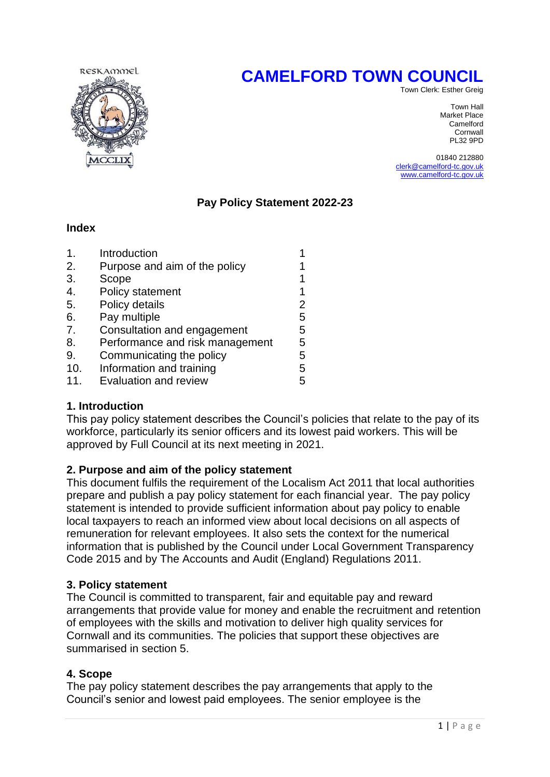# **CAMELFORD TOWN COUNCIL**



Town Clerk: Esther Greig

Town Hall Market Place Camelford Cornwall<br>PL32 9PD PL32 9PD

> 01840 212880 [clerk@camelford-tc.gov.uk](mailto:clerk@camelford-tc.gov.uk) [www.camelford-tc.gov.uk](http://www.camelfordtown.net/)

## **Pay Policy Statement 2022-23**

#### **Index**

| $\mathbf 1$ . | Introduction                    |   |
|---------------|---------------------------------|---|
| 2.            | Purpose and aim of the policy   |   |
| 3.            | Scope                           |   |
| 4.            | Policy statement                |   |
| 5.            | Policy details                  | 2 |
| 6.            | Pay multiple                    | 5 |
| 7.            | Consultation and engagement     | 5 |
| 8.            | Performance and risk management | 5 |
| 9.            | Communicating the policy        | 5 |
| 10.           | Information and training        | 5 |
| 11            | Evaluation and review           | 5 |

## **1. Introduction**

This pay policy statement describes the Council's policies that relate to the pay of its workforce, particularly its senior officers and its lowest paid workers. This will be approved by Full Council at its next meeting in 2021.

## **2. Purpose and aim of the policy statement**

This document fulfils the requirement of the Localism Act 2011 that local authorities prepare and publish a pay policy statement for each financial year. The pay policy statement is intended to provide sufficient information about pay policy to enable local taxpayers to reach an informed view about local decisions on all aspects of remuneration for relevant employees. It also sets the context for the numerical information that is published by the Council under Local Government Transparency Code 2015 and by The Accounts and Audit (England) Regulations 2011.

## **3. Policy statement**

The Council is committed to transparent, fair and equitable pay and reward arrangements that provide value for money and enable the recruitment and retention of employees with the skills and motivation to deliver high quality services for Cornwall and its communities. The policies that support these objectives are summarised in section 5.

## **4. Scope**

The pay policy statement describes the pay arrangements that apply to the Council's senior and lowest paid employees. The senior employee is the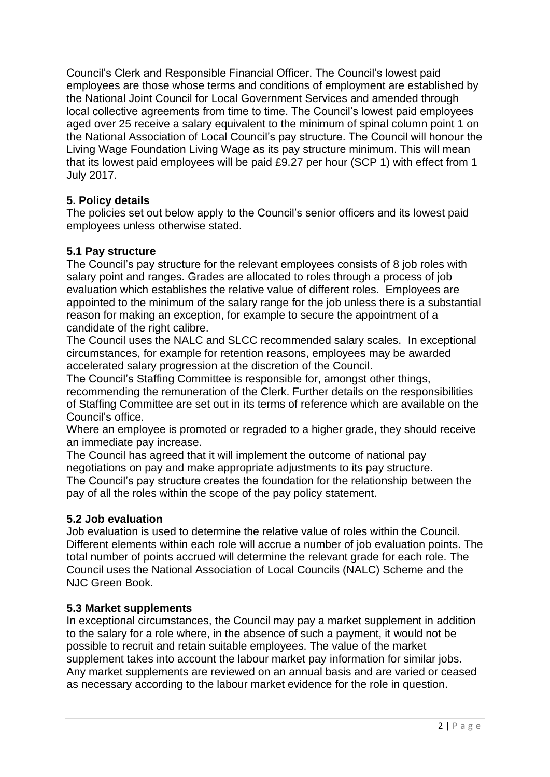Council's Clerk and Responsible Financial Officer. The Council's lowest paid employees are those whose terms and conditions of employment are established by the National Joint Council for Local Government Services and amended through local collective agreements from time to time. The Council's lowest paid employees aged over 25 receive a salary equivalent to the minimum of spinal column point 1 on the National Association of Local Council's pay structure. The Council will honour the Living Wage Foundation Living Wage as its pay structure minimum. This will mean that its lowest paid employees will be paid £9.27 per hour (SCP 1) with effect from 1 July 2017.

# **5. Policy details**

The policies set out below apply to the Council's senior officers and its lowest paid employees unless otherwise stated.

# **5.1 Pay structure**

The Council's pay structure for the relevant employees consists of 8 job roles with salary point and ranges. Grades are allocated to roles through a process of job evaluation which establishes the relative value of different roles. Employees are appointed to the minimum of the salary range for the job unless there is a substantial reason for making an exception, for example to secure the appointment of a candidate of the right calibre.

The Council uses the NALC and SLCC recommended salary scales. In exceptional circumstances, for example for retention reasons, employees may be awarded accelerated salary progression at the discretion of the Council.

The Council's Staffing Committee is responsible for, amongst other things, recommending the remuneration of the Clerk. Further details on the responsibilities of Staffing Committee are set out in its terms of reference which are available on the Council's office.

Where an employee is promoted or regraded to a higher grade, they should receive an immediate pay increase.

The Council has agreed that it will implement the outcome of national pay negotiations on pay and make appropriate adjustments to its pay structure. The Council's pay structure creates the foundation for the relationship between the pay of all the roles within the scope of the pay policy statement.

# **5.2 Job evaluation**

Job evaluation is used to determine the relative value of roles within the Council. Different elements within each role will accrue a number of job evaluation points. The total number of points accrued will determine the relevant grade for each role. The Council uses the National Association of Local Councils (NALC) Scheme and the NJC Green Book.

# **5.3 Market supplements**

In exceptional circumstances, the Council may pay a market supplement in addition to the salary for a role where, in the absence of such a payment, it would not be possible to recruit and retain suitable employees. The value of the market supplement takes into account the labour market pay information for similar jobs. Any market supplements are reviewed on an annual basis and are varied or ceased as necessary according to the labour market evidence for the role in question.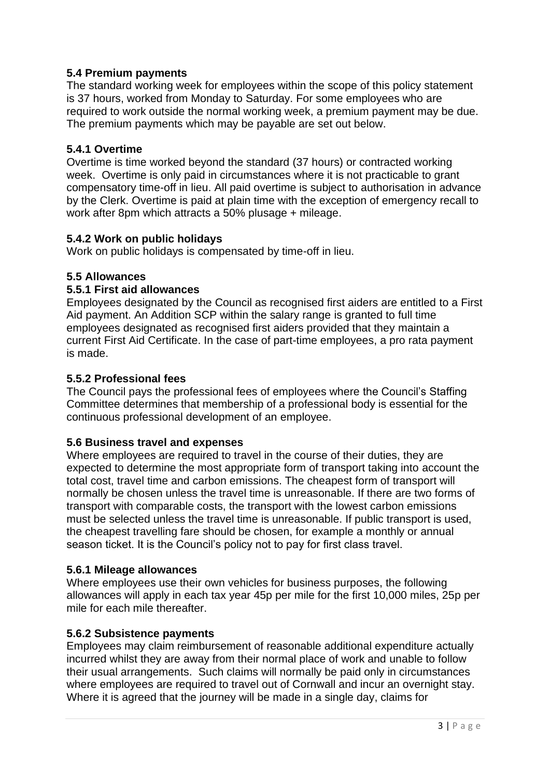# **5.4 Premium payments**

The standard working week for employees within the scope of this policy statement is 37 hours, worked from Monday to Saturday. For some employees who are required to work outside the normal working week, a premium payment may be due. The premium payments which may be payable are set out below.

## **5.4.1 Overtime**

Overtime is time worked beyond the standard (37 hours) or contracted working week. Overtime is only paid in circumstances where it is not practicable to grant compensatory time-off in lieu. All paid overtime is subject to authorisation in advance by the Clerk. Overtime is paid at plain time with the exception of emergency recall to work after 8pm which attracts a 50% plusage + mileage.

## **5.4.2 Work on public holidays**

Work on public holidays is compensated by time-off in lieu.

## **5.5 Allowances**

## **5.5.1 First aid allowances**

Employees designated by the Council as recognised first aiders are entitled to a First Aid payment. An Addition SCP within the salary range is granted to full time employees designated as recognised first aiders provided that they maintain a current First Aid Certificate. In the case of part-time employees, a pro rata payment is made.

## **5.5.2 Professional fees**

The Council pays the professional fees of employees where the Council's Staffing Committee determines that membership of a professional body is essential for the continuous professional development of an employee.

## **5.6 Business travel and expenses**

Where employees are required to travel in the course of their duties, they are expected to determine the most appropriate form of transport taking into account the total cost, travel time and carbon emissions. The cheapest form of transport will normally be chosen unless the travel time is unreasonable. If there are two forms of transport with comparable costs, the transport with the lowest carbon emissions must be selected unless the travel time is unreasonable. If public transport is used, the cheapest travelling fare should be chosen, for example a monthly or annual season ticket. It is the Council's policy not to pay for first class travel.

## **5.6.1 Mileage allowances**

Where employees use their own vehicles for business purposes, the following allowances will apply in each tax year 45p per mile for the first 10,000 miles, 25p per mile for each mile thereafter.

## **5.6.2 Subsistence payments**

Employees may claim reimbursement of reasonable additional expenditure actually incurred whilst they are away from their normal place of work and unable to follow their usual arrangements. Such claims will normally be paid only in circumstances where employees are required to travel out of Cornwall and incur an overnight stay. Where it is agreed that the journey will be made in a single day, claims for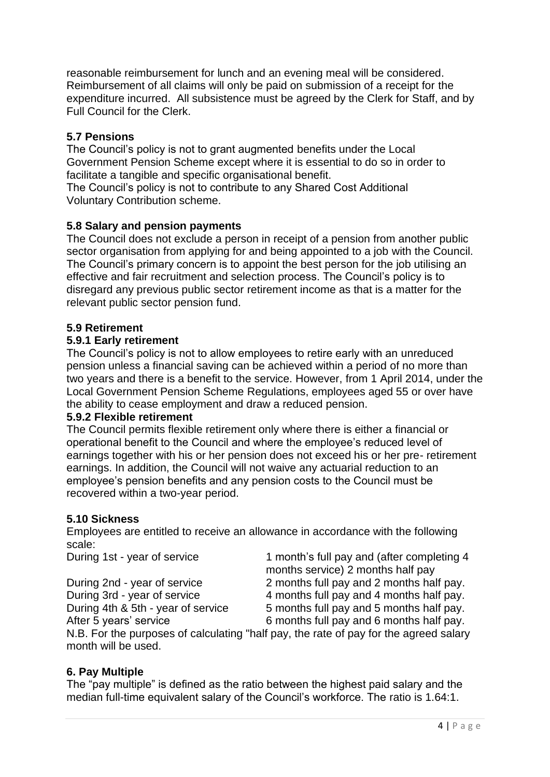reasonable reimbursement for lunch and an evening meal will be considered. Reimbursement of all claims will only be paid on submission of a receipt for the expenditure incurred. All subsistence must be agreed by the Clerk for Staff, and by Full Council for the Clerk.

## **5.7 Pensions**

The Council's policy is not to grant augmented benefits under the Local Government Pension Scheme except where it is essential to do so in order to facilitate a tangible and specific organisational benefit.

The Council's policy is not to contribute to any Shared Cost Additional Voluntary Contribution scheme.

## **5.8 Salary and pension payments**

The Council does not exclude a person in receipt of a pension from another public sector organisation from applying for and being appointed to a job with the Council. The Council's primary concern is to appoint the best person for the job utilising an effective and fair recruitment and selection process. The Council's policy is to disregard any previous public sector retirement income as that is a matter for the relevant public sector pension fund.

## **5.9 Retirement**

## **5.9.1 Early retirement**

The Council's policy is not to allow employees to retire early with an unreduced pension unless a financial saving can be achieved within a period of no more than two years and there is a benefit to the service. However, from 1 April 2014, under the Local Government Pension Scheme Regulations, employees aged 55 or over have the ability to cease employment and draw a reduced pension.

#### **5.9.2 Flexible retirement**

The Council permits flexible retirement only where there is either a financial or operational benefit to the Council and where the employee's reduced level of earnings together with his or her pension does not exceed his or her pre- retirement earnings. In addition, the Council will not waive any actuarial reduction to an employee's pension benefits and any pension costs to the Council must be recovered within a two-year period.

#### **5.10 Sickness**

Employees are entitled to receive an allowance in accordance with the following scale:

During 1st - year of service 1 month's full pay and (after completing 4 months service) 2 months half pay During 2nd - year of service 2 months full pay and 2 months half pay. During 3rd - year of service 4 months full pay and 4 months half pay. During 4th & 5th - year of service 5 months full pay and 5 months half pay. After 5 years' service 6 months full pay and 6 months half pay.

N.B. For the purposes of calculating "half pay, the rate of pay for the agreed salary month will be used.

## **6. Pay Multiple**

The "pay multiple" is defined as the ratio between the highest paid salary and the median full-time equivalent salary of the Council's workforce. The ratio is 1.64:1.